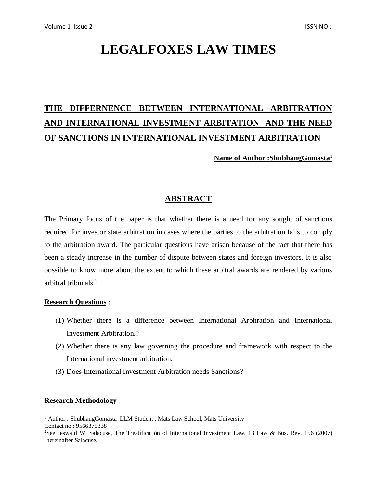# **LEGALFOXES LAW TIMES**

# **THE DIFFERNENCE BETWEEN INTERNATIONAL ARBITRATION AND INTERNATIONAL INVESTMENT ARBITATION AND THE NEED OF SANCTIONS IN INTERNATIONAL INVESTMENT ARBITRATION**

**Name of Author :ShubhangGomasta<sup>1</sup>**

# **ABSTRACT**

The Primary focus of the paper is that whether there is a need for any sought of sanctions required for investor state arbitration in cases where the parties to the arbitration fails to comply to the arbitration award. The particular questions have arisen because of the fact that there has been a steady increase in the number of dispute between states and foreign investors. It is also possible to know more about the extent to which these arbitral awards are rendered by various arbitral tribunals.<sup>2</sup>

# **Research Questions** :

- (1) Whether there is a difference between International Arbitration and International Investment Arbitration.?
- (2) Whether there is any law governing the procedure and framework with respect to the International investment arbitration.
- (3) Does International Investment Arbitration needs Sanctions?

# **Research Methodology**

 $\overline{a}$ 

<sup>&</sup>lt;sup>1</sup> Author : ShubhangGomasta LLM Student, Mats Law School, Mats University Contact no : 9566375338

<sup>2</sup>See Jeswald W. Salacuse, The Treatíficatión of International Investment Law, 13 Law & Bus. Rev. 156 (2007) [hereinafter Salacuse,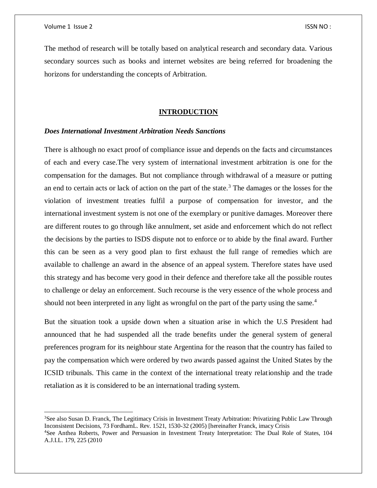The method of research will be totally based on analytical research and secondary data. Various secondary sources such as books and internet websites are being referred for broadening the horizons for understanding the concepts of Arbitration.

#### **INTRODUCTION**

#### *Does International Investment Arbitration Needs Sanctions*

There is although no exact proof of compliance issue and depends on the facts and circumstances of each and every case.The very system of international investment arbitration is one for the compensation for the damages. But not compliance through withdrawal of a measure or putting an end to certain acts or lack of action on the part of the state.<sup>3</sup> The damages or the losses for the violation of investment treaties fulfil a purpose of compensation for investor, and the international investment system is not one of the exemplary or punitive damages. Moreover there are different routes to go through like annulment, set aside and enforcement which do not reflect the decisions by the parties to ISDS dispute not to enforce or to abide by the final award. Further this can be seen as a very good plan to first exhaust the full range of remedies which are available to challenge an award in the absence of an appeal system. Therefore states have used this strategy and has become very good in their defence and therefore take all the possible routes to challenge or delay an enforcement. Such recourse is the very essence of the whole process and should not been interpreted in any light as wrongful on the part of the party using the same.<sup>4</sup>

But the situation took a upside down when a situation arise in which the U.S President had announced that he had suspended all the trade benefits under the general system of general preferences program for its neighbour state Argentina for the reason that the country has failed to pay the compensation which were ordered by two awards passed against the United States by the ICSID tribunals. This came in the context of the international treaty relationship and the trade retaliation as it is considered to be an international trading system.

<sup>&</sup>lt;sup>3</sup>See also Susan D. Franck, The Legitimacy Crisis in Investment Treaty Arbitration: Privatizing Public Law Through Inconsistent Decisions, 73 FordhamL. Rev. 1521, 1530-32 (2005) [hereinafter Franck, imacy Crisis

<sup>4</sup>See Anthea Roberts, Power and Persuasion in Investment Treaty Interpretation: The Dual Role of States, 104 A.J.I.L. 179, 225 (2010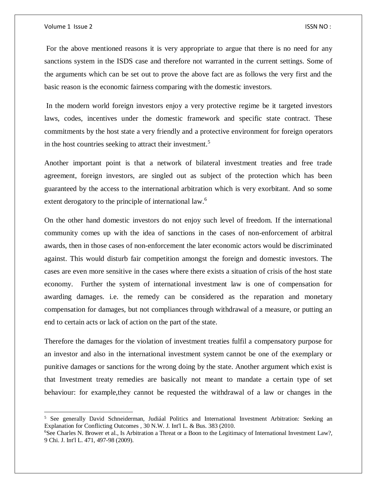For the above mentioned reasons it is very appropriate to argue that there is no need for any sanctions system in the ISDS case and therefore not warranted in the current settings. Some of the arguments which can be set out to prove the above fact are as follows the very first and the basic reason is the economic fairness comparing with the domestic investors.

In the modern world foreign investors enjoy a very protective regime be it targeted investors laws, codes, incentives under the domestic framework and specific state contract. These commitments by the host state a very friendly and a protective environment for foreign operators in the host countries seeking to attract their investment.<sup>5</sup>

Another important point is that a network of bilateral investment treaties and free trade agreement, foreign investors, are singled out as subject of the protection which has been guaranteed by the access to the international arbitration which is very exorbitant. And so some extent derogatory to the principle of international law.<sup>6</sup>

On the other hand domestic investors do not enjoy such level of freedom. If the international community comes up with the idea of sanctions in the cases of non-enforcement of arbitral awards, then in those cases of non-enforcement the later economic actors would be discriminated against. This would disturb fair competition amongst the foreign and domestic investors. The cases are even more sensitive in the cases where there exists a situation of crisis of the host state economy. Further the system of international investment law is one of compensation for awarding damages. i.e. the remedy can be considered as the reparation and monetary compensation for damages, but not compliances through withdrawal of a measure, or putting an end to certain acts or lack of action on the part of the state.

Therefore the damages for the violation of investment treaties fulfil a compensatory purpose for an investor and also in the international investment system cannot be one of the exemplary or punitive damages or sanctions for the wrong doing by the state. Another argument which exist is that Investment treaty remedies are basically not meant to mandate a certain type of set behaviour: for example,they cannot be requested the withdrawal of a law or changes in the

<sup>5</sup> See generally David Schneiderman, Judiáal Politics and International Investment Arbitration: Seeking an Explanation for Conflicting Outcomes , 30 N.W. J. Int'l L. & Bus. 383 (2010.

<sup>6</sup>See Charles N. Brower et al., Is Arbitration a Threat or a Boon to the Legitimacy of International Investment Law?, 9 Chi. J. Int'l L. 471, 497-98 (2009).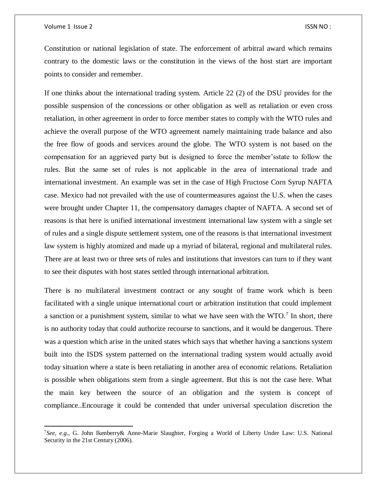$\overline{\phantom{a}}$ 

Constitution or national legislation of state. The enforcement of arbitral award which remains contrary to the domestic laws or the constitution in the views of the host start are important points to consider and remember.

If one thinks about the international trading system. Article 22 (2) of the DSU provides for the possible suspension of the concessions or other obligation as well as retaliation or even cross retaliation, in other agreement in order to force member states to comply with the WTO rules and achieve the overall purpose of the WTO agreement namely maintaining trade balance and also the free flow of goods and services around the globe. The WTO system is not based on the compensation for an aggrieved party but is designed to force the member'sstate to follow the rules. But the same set of rules is not applicable in the area of international trade and international investment. An example was set in the case of High Fructose Corn Syrup NAFTA case. Mexico had not prevailed with the use of countermeasures against the U.S. when the cases were brought under Chapter 11, the compensatory damages chapter of NAFTA. A second set of reasons is that here is unified international investment international law system with a single set of rules and a single dispute settlement system, one of the reasons is that international investment law system is highly atomized and made up a myriad of bilateral, regional and multilateral rules. There are at least two or three sets of rules and institutions that investors can turn to if they want to see their disputes with host states settled through international arbitration.

There is no multilateral investment contract or any sought of frame work which is been facilitated with a single unique international court or arbitration institution that could implement a sanction or a punishment system, similar to what we have seen with the  $WTO.<sup>7</sup>$  In short, there is no authority today that could authorize recourse to sanctions, and it would be dangerous. There was a question which arise in the united states which says that whether having a sanctions system built into the ISDS system patterned on the international trading system would actually avoid today situation where a state is been retaliating in another area of economic relations. Retaliation is possible when obligations stem from a single agreement. But this is not the case here. What the main key between the source of an obligation and the system is concept of compliance..Encourage it could be contended that under universal speculation discretion the

<sup>7</sup>*See, e.g.,* G. John Ikenberry& Anne-Marie Slaughter, Forging a World of Liberty Under Law: U.S. National Security in the 21st Century (2006).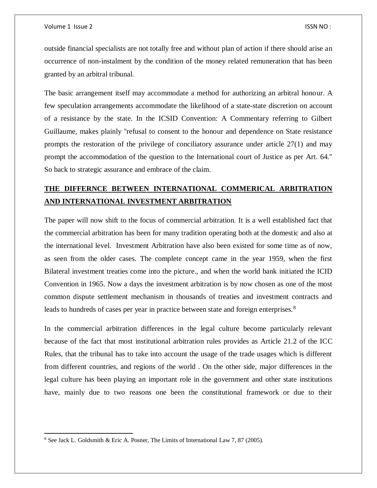outside financial specialists are not totally free and without plan of action if there should arise an occurrence of non-instalment by the condition of the money related remuneration that has been granted by an arbitral tribunal.

The basic arrangement itself may accommodate a method for authorizing an arbitral honour. A few speculation arrangements accommodate the likelihood of a state-state discretion on account of a resistance by the state. In the ICSID Convention: A Commentary referring to Gilbert Guillaume, makes plainly ''refusal to consent to the honour and dependence on State resistance prompts the restoration of the privilege of conciliatory assurance under article 27(1) and may prompt the accommodation of the question to the International court of Justice as per Art. 64.'' So back to strategic assurance and embrace of the claim.

# **THE DIFFERNCE BETWEEN INTERNATIONAL COMMERICAL ARBITRATION AND INTERNATIONAL INVESTMENT ARBITRATION**

The paper will now shift to the focus of commercial arbitration. It is a well established fact that the commercial arbitration has been for many tradition operating both at the domestic and also at the international level. Investment Arbitration have also been existed for some time as of now, as seen from the older cases. The complete concept came in the year 1959, when the first Bilateral investment treaties come into the picture., and when the world bank initiated the ICID Convention in 1965. Now a days the investment arbitration is by now chosen as one of the most common dispute settlement mechanism in thousands of treaties and investment contracts and leads to hundreds of cases per year in practice between state and foreign enterprises.<sup>8</sup>

In the commercial arbitration differences in the legal culture become particularly relevant because of the fact that most institutional arbitration rules provides as Article 21.2 of the ICC Rules, that the tribunal has to take into account the usage of the trade usages which is different from different countries, and regions of the world . On the other side, major differences in the legal culture has been playing an important role in the government and other state institutions have, mainly due to two reasons one been the constitutional framework or due to their

<sup>8</sup> See Jack L. Goldsmith & Eric A. Posner, The Limits of International Law 7, 87 (2005).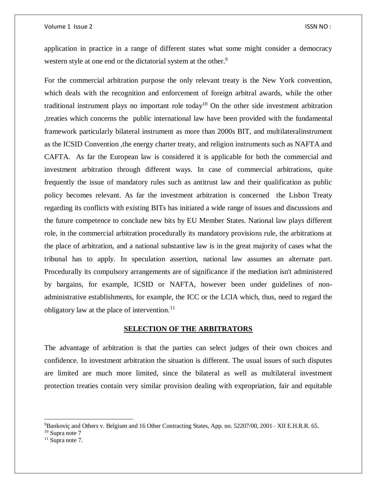#### Volume 1 Issue 2 ISSN NO :

application in practice in a range of different states what some might consider a democracy western style at one end or the dictatorial system at the other.<sup>9</sup>

For the commercial arbitration purpose the only relevant treaty is the New York convention, which deals with the recognition and enforcement of foreign arbitral awards, while the other traditional instrument plays no important role today<sup>10</sup> On the other side investment arbitration ,treaties which concerns the public international law have been provided with the fundamental framework particularly bilateral instrument as more than 2000s BIT, and multilateralinstrument as the ICSID Convention ,the energy charter treaty, and religion instruments such as NAFTA and CAFTA. As far the European law is considered it is applicable for both the commercial and investment arbitration through different ways. In case of commercial arbitrations, quite frequently the issue of mandatory rules such as antitrust law and their qualification as public policy becomes relevant. As far the investment arbitration is concerned the Lisbon Treaty regarding its conflicts with existing BITs has initiated a wide range of issues and discussions and the future competence to conclude new bits by EU Member States. National law plays different role, in the commercial arbitration procedurally its mandatory provisions rule, the arbitrations at the place of arbitration, and a national substantive law is in the great majority of cases what the tribunal has to apply. In speculation assertion, national law assumes an alternate part. Procedurally its compulsory arrangements are of significance if the mediation isn't administered by bargains, for example, ICSID or NAFTA, however been under guidelines of nonadministrative establishments, for example, the ICC or the LCIA which, thus, need to regard the obligatory law at the place of intervention. $^{11}$ 

#### **SELECTION OF THE ARBITRATORS**

The advantage of arbitration is that the parties can select judges of their own choices and confidence. In investment arbitration the situation is different. The usual issues of such disputes are limited are much more limited, since the bilateral as well as multilateral investment protection treaties contain very similar provision dealing with expropriation, fair and equitable

 $\overline{a}$ 

<sup>9</sup>Bankoviç and Others v. Belgium and 16 Other Contracting States, App. no. 52207/00, 2001– XII E.H.R.R. 65.

 $10$  Supra note 7

 $11$  Supra note 7.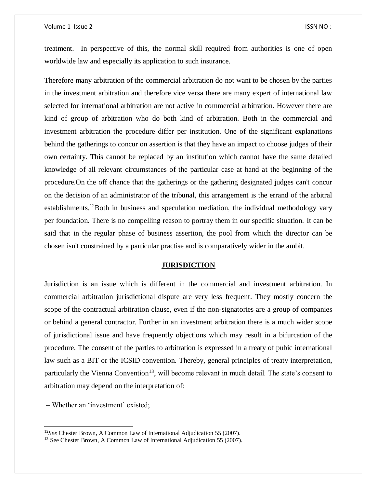#### Volume 1 Issue 2 ISSN NO :

treatment. In perspective of this, the normal skill required from authorities is one of open worldwide law and especially its application to such insurance.

Therefore many arbitration of the commercial arbitration do not want to be chosen by the parties in the investment arbitration and therefore vice versa there are many expert of international law selected for international arbitration are not active in commercial arbitration. However there are kind of group of arbitration who do both kind of arbitration. Both in the commercial and investment arbitration the procedure differ per institution. One of the significant explanations behind the gatherings to concur on assertion is that they have an impact to choose judges of their own certainty. This cannot be replaced by an institution which cannot have the same detailed knowledge of all relevant circumstances of the particular case at hand at the beginning of the procedure.On the off chance that the gatherings or the gathering designated judges can't concur on the decision of an administrator of the tribunal, this arrangement is the errand of the arbitral establishments.<sup>12</sup>Both in business and speculation mediation, the individual methodology vary per foundation. There is no compelling reason to portray them in our specific situation. It can be said that in the regular phase of business assertion, the pool from which the director can be chosen isn't constrained by a particular practise and is comparatively wider in the ambit.

#### **JURISDICTION**

Jurisdiction is an issue which is different in the commercial and investment arbitration. In commercial arbitration jurisdictional dispute are very less frequent. They mostly concern the scope of the contractual arbitration clause, even if the non-signatories are a group of companies or behind a general contractor. Further in an investment arbitration there is a much wider scope of jurisdictional issue and have frequently objections which may result in a bifurcation of the procedure. The consent of the parties to arbitration is expressed in a treaty of pubic international law such as a BIT or the ICSID convention. Thereby, general principles of treaty interpretation, particularly the Vienna Convention<sup>13</sup>, will become relevant in much detail. The state's consent to arbitration may depend on the interpretation of:

– Whether an 'investment' existed;

 $\overline{\phantom{a}}$ 

<sup>12</sup>*See* Chester Brown, A Common Law of International Adjudication 55 (2007).

<sup>&</sup>lt;sup>13</sup> See Chester Brown, A Common Law of International Adjudication 55 (2007).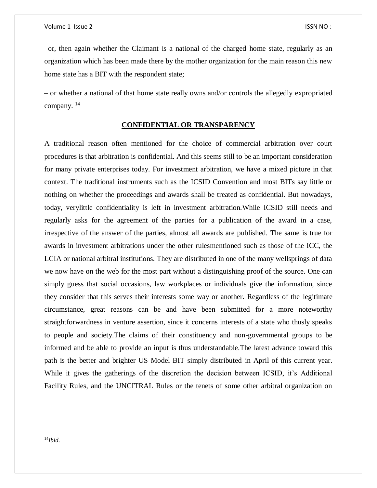–or, then again whether the Claimant is a national of the charged home state, regularly as an organization which has been made there by the mother organization for the main reason this new home state has a BIT with the respondent state;

– or whether a national of that home state really owns and/or controls the allegedly expropriated company. <sup>14</sup>

## **CONFIDENTIAL OR TRANSPARENCY**

A traditional reason often mentioned for the choice of commercial arbitration over court procedures is that arbitration is confidential. And this seems still to be an important consideration for many private enterprises today. For investment arbitration, we have a mixed picture in that context. The traditional instruments such as the ICSID Convention and most BITs say little or nothing on whether the proceedings and awards shall be treated as confidential. But nowadays, today, verylittle confidentiality is left in investment arbitration.While ICSID still needs and regularly asks for the agreement of the parties for a publication of the award in a case, irrespective of the answer of the parties, almost all awards are published. The same is true for awards in investment arbitrations under the other rulesmentioned such as those of the ICC, the LCIA or national arbitral institutions. They are distributed in one of the many wellsprings of data we now have on the web for the most part without a distinguishing proof of the source. One can simply guess that social occasions, law workplaces or individuals give the information, since they consider that this serves their interests some way or another. Regardless of the legitimate circumstance, great reasons can be and have been submitted for a more noteworthy straightforwardness in venture assertion, since it concerns interests of a state who thusly speaks to people and society.The claims of their constituency and non-governmental groups to be informed and be able to provide an input is thus understandable.The latest advance toward this path is the better and brighter US Model BIT simply distributed in April of this current year. While it gives the gatherings of the discretion the decision between ICSID, it's Additional Facility Rules, and the UNCITRAL Rules or the tenets of some other arbitral organization on

 $\overline{a}$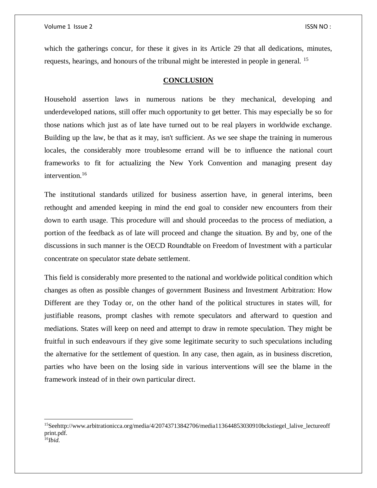which the gatherings concur, for these it gives in its Article 29 that all dedications, minutes, requests, hearings, and honours of the tribunal might be interested in people in general. <sup>15</sup>

#### **CONCLUSION**

Household assertion laws in numerous nations be they mechanical, developing and underdeveloped nations, still offer much opportunity to get better. This may especially be so for those nations which just as of late have turned out to be real players in worldwide exchange. Building up the law, be that as it may, isn't sufficient. As we see shape the training in numerous locales, the considerably more troublesome errand will be to influence the national court frameworks to fit for actualizing the New York Convention and managing present day intervention.<sup>16</sup>

The institutional standards utilized for business assertion have, in general interims, been rethought and amended keeping in mind the end goal to consider new encounters from their down to earth usage. This procedure will and should proceedas to the process of mediation, a portion of the feedback as of late will proceed and change the situation. By and by, one of the discussions in such manner is the OECD Roundtable on Freedom of Investment with a particular concentrate on speculator state debate settlement.

This field is considerably more presented to the national and worldwide political condition which changes as often as possible changes of government Business and Investment Arbitration: How Different are they Today or, on the other hand of the political structures in states will, for justifiable reasons, prompt clashes with remote speculators and afterward to question and mediations. States will keep on need and attempt to draw in remote speculation. They might be fruitful in such endeavours if they give some legitimate security to such speculations including the alternative for the settlement of question. In any case, then again, as in business discretion, parties who have been on the losing side in various interventions will see the blame in the framework instead of in their own particular direct.

<sup>&</sup>lt;sup>15</sup>Seehttp://www.arbitrationicca.org/media/4/20743713842706/media113644853030910bckstiegel\_lalive\_lectureoff print.pdf. 16*Ibid.*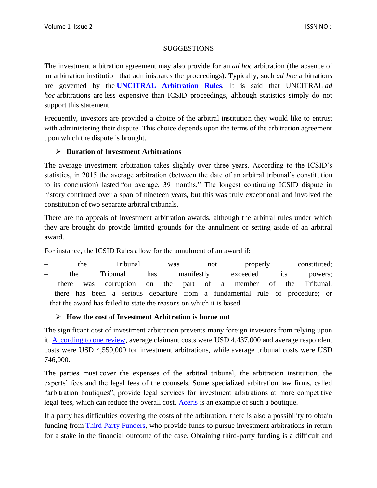### **SUGGESTIONS**

The investment arbitration agreement may also provide for an *ad hoc* arbitration (the absence of an arbitration institution that administrates the proceedings). Typically, such *ad hoc* arbitrations are governed by the **[UNCITRAL Arbitration Rules](https://uncitral.org/pdf/english/texts/arbitration/arb-rules-revised/arb-rules-revised-2010-e.pdf)**. It is said that UNCITRAL *ad hoc* arbitrations are less expensive than ICSID proceedings, although statistics simply do not support this statement.

Frequently, investors are provided a choice of the arbitral institution they would like to entrust with administering their dispute. This choice depends upon the terms of the arbitration agreement upon which the dispute is brought.

# **Duration of Investment Arbitrations**

The average investment arbitration takes slightly over three years. According to the ICSID's statistics, in 2015 the average arbitration (between the date of an arbitral tribunal's constitution to its conclusion) lasted "on average, 39 months." The longest continuing ICSID dispute in history continued over a span of nineteen years, but this was truly exceptional and involved the constitution of two separate arbitral tribunals.

There are no appeals of investment arbitration awards, although the arbitral rules under which they are brought do provide limited grounds for the annulment or setting aside of an arbitral award.

For instance, the ICSID Rules allow for the annulment of an award if:

– the Tribunal was not properly constituted; – the Tribunal has manifestly exceeded its powers; – there was corruption on the part of a member of the Tribunal; – there has been a serious departure from a fundamental rule of procedure; or – that the award has failed to state the reasons on which it is based.

# **How the cost of Investment Arbitration is borne out**

The significant cost of investment arbitration prevents many foreign investors from relying upon it. [According to one review,](https://www.international-arbitration-attorney.com/wp-content/uploads/2016/10/Costs-Study-Master-Table.pdf) average claimant costs were USD 4,437,000 and average respondent costs were USD 4,559,000 for investment arbitrations, while average tribunal costs were USD 746,000.

The parties must cover the expenses of the arbitral tribunal, the arbitration institution, the experts' fees and the legal fees of the counsels. Some specialized arbitration law firms, called "arbitration boutiques", provide legal services for investment arbitrations at more competitive legal fees, which can reduce the overall cost. [Aceris](https://www.acerislaw.com/) is an example of such a boutique.

If a party has difficulties covering the costs of the arbitration, there is also a possibility to obtain funding from [Third Party Funders,](https://www.international-arbitration-attorney.com/third-party-funders-international-arbitration/) who provide funds to pursue investment arbitrations in return for a stake in the financial outcome of the case. Obtaining third-party funding is a difficult and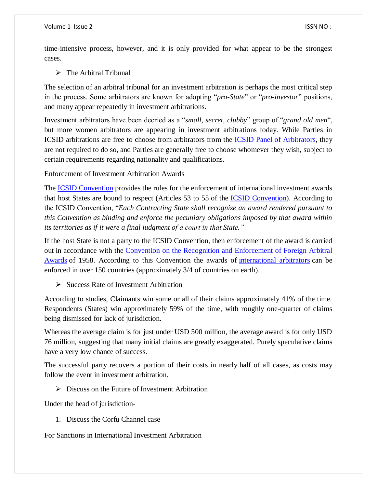time-intensive process, however, and it is only provided for what appear to be the strongest cases.

 $\triangleright$  The Arbitral Tribunal

The selection of an arbitral tribunal for an investment arbitration is perhaps the most critical step in the process. Some arbitrators are known for adopting "*pro-State*" or "*pro-investor*" positions, and many appear repeatedly in investment arbitrations.

Investment arbitrators have been decried as a "*small, secret, clubby*" group of "*grand old men*", but more women arbitrators are appearing in investment arbitrations today. While Parties in ICSID arbitrations are free to choose from arbitrators from the **ICSID Panel of Arbitrators**, they are not required to do so, and Parties are generally free to choose whomever they wish, subject to certain requirements regarding nationality and qualifications.

Enforcement of Investment Arbitration Awards

The **ICSID** Convention provides the rules for the enforcement of international investment awards that host States are bound to respect (Articles 53 to 55 of the [ICSID Convention\)](https://icsid.worldbank.org/en/Pages/icsiddocs/ICSID-Convention.aspx). According to the ICSID Convention, "*Each Contracting State shall recognize an award rendered pursuant to this Convention as binding and enforce the pecuniary obligations imposed by that award within its territories as if it were a final judgment of a court in that State."* 

If the host State is not a party to the ICSID Convention, then enforcement of the award is carried out in accordance with the Convention [on the Recognition and Enforcement of Foreign Arbitral](https://uncitral.org/pdf/english/texts/arbitration/NY-conv/XXII_1_e.pdf)  [Awards](https://uncitral.org/pdf/english/texts/arbitration/NY-conv/XXII_1_e.pdf) of 1958. According to this Convention the awards of [international arbitrators](https://www.international-arbitration-attorney.com/find-international-arbitrators/) can be enforced in over 150 countries (approximately 3/4 of countries on earth).

 $\triangleright$  Success Rate of Investment Arbitration

According to studies, Claimants win some or all of their claims approximately 41% of the time. Respondents (States) win approximately 59% of the time, with roughly one-quarter of claims being dismissed for lack of jurisdiction.

Whereas the average claim is for just under USD 500 million, the average award is for only USD 76 million, suggesting that many initial claims are greatly exaggerated. Purely speculative claims have a very low chance of success.

The successful party recovers a portion of their costs in nearly half of all cases, as costs may follow the event in investment arbitration.

 $\triangleright$  Discuss on the Future of Investment Arbitration

Under the head of jurisdiction-

1. Discuss the Corfu Channel case

For Sanctions in International Investment Arbitration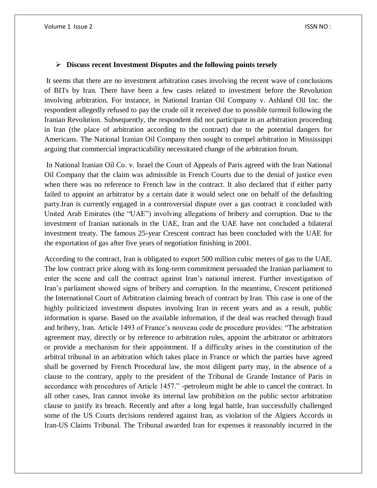### **Discuss recent Investment Disputes and the following points tersely**

It seems that there are no investment arbitration cases involving the recent wave of conclusions of BITs by Iran. There have been a few cases related to investment before the Revolution involving arbitration. For instance, in National Iranian Oil Company v. Ashland Oil Inc. the respondent allegedly refused to pay the crude oil it received due to possible turmoil following the Iranian Revolution. Subsequently, the respondent did not participate in an arbitration proceeding in Iran (the place of arbitration according to the contract) due to the potential dangers for Americans. The National Iranian Oil Company then sought to compel arbitration in Mississippi arguing that commercial impracticability necessitated change of the arbitration forum.

In National Iranian Oil Co. v. Israel the Court of Appeals of Paris agreed with the Iran National Oil Company that the claim was admissible in French Courts due to the denial of justice even when there was no reference to French law in the contract. It also declared that if either party failed to appoint an arbitrator by a certain date it would select one on behalf of the defaulting party.Iran is currently engaged in a controversial dispute over a gas contract it concluded with United Arab Emirates (the "UAE") involving allegations of bribery and corruption. Due to the investment of Iranian nationals in the UAE, Iran and the UAE have not concluded a bilateral investment treaty. The famous 25-year Crescent contract has been concluded with the UAE for the exportation of gas after five years of negotiation finishing in 2001.

According to the contract, Iran is obligated to export 500 million cubic meters of gas to the UAE. The low contract price along with its long-term commitment persuaded the Iranian parliament to enter the scene and call the contract against Iran's national interest. Further investigation of Iran's parliament showed signs of bribery and corruption. In the meantime, Crescent petitioned the International Court of Arbitration claiming breach of contract by Iran. This case is one of the highly politicized investment disputes involving Iran in recent years and as a result, public information is sparse. Based on the available information, if the deal was reached through fraud and bribery, Iran. Article 1493 of France's nouveau code de procedure provides: "The arbitration agreement may, directly or by reference to arbitration rules, appoint the arbitrator or arbitrators or provide a mechanism for their appointment. If a difficulty arises in the constitution of the arbitral tribunal in an arbitration which takes place in France or which the parties have agreed shall be governed by French Procedural law, the most diligent party may, in the absence of a clause to the contrary, apply to the president of the Tribunal de Grande Instance of Paris in accordance with procedures of Article 1457." -petroleum might be able to cancel the contract. In all other cases, Iran cannot invoke its internal law prohibition on the public sector arbitration clause to justify its breach. Recently and after a long legal battle, Iran successfully challenged some of the US Courts decisions rendered against Iran, as violation of the Algiers Accords in Iran-US Claims Tribunal. The Tribunal awarded Iran for expenses it reasonably incurred in the